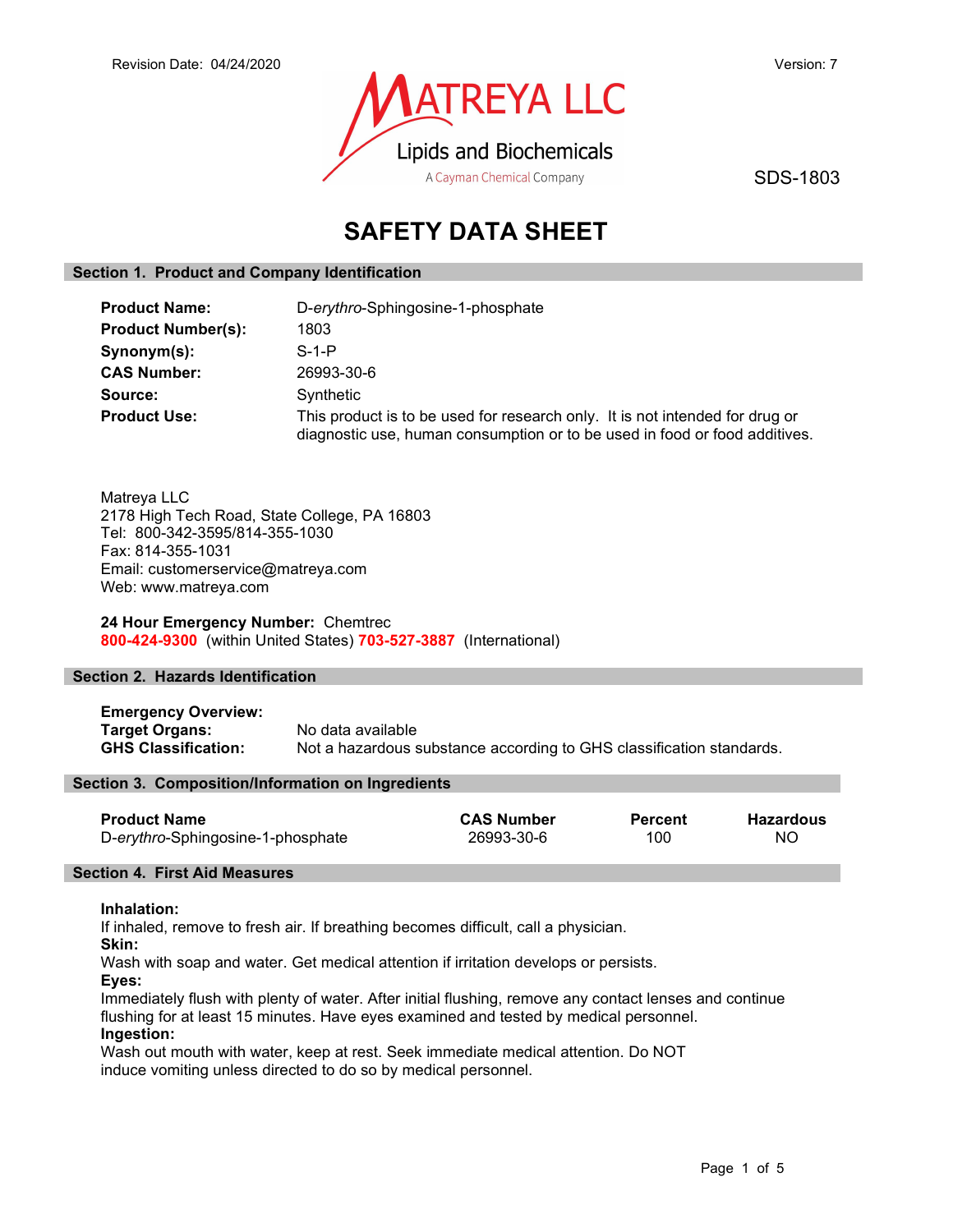

SDS-1803

# SAFETY DATA SHEET

# Section 1. Product and Company Identification

| <b>Product Name:</b>      | D-erythro-Sphingosine-1-phosphate                                                                                                                          |  |
|---------------------------|------------------------------------------------------------------------------------------------------------------------------------------------------------|--|
| <b>Product Number(s):</b> | 1803                                                                                                                                                       |  |
| Synonym(s):               | $S-1-P$                                                                                                                                                    |  |
| <b>CAS Number:</b>        | 26993-30-6                                                                                                                                                 |  |
| Source:                   | Synthetic                                                                                                                                                  |  |
| <b>Product Use:</b>       | This product is to be used for research only. It is not intended for drug or<br>diagnostic use, human consumption or to be used in food or food additives. |  |

Matreya LLC 2178 High Tech Road, State College, PA 16803 Tel: 800-342-3595/814-355-1030 Fax: 814-355-1031 Email: customerservice@matreya.com Web: www.matreya.com

24 Hour Emergency Number: Chemtrec 800-424-9300 (within United States) 703-527-3887 (International)

## Section 2. Hazards Identification

Emergency Overview: Target Organs: No data available GHS Classification: Not a hazardous substance according to GHS classification standards.

## Section 3. Composition/Information on Ingredients

| <b>Product Name</b>               | <b>CAS Number</b> | <b>Percent</b> | Hazardous |
|-----------------------------------|-------------------|----------------|-----------|
| D-erythro-Sphingosine-1-phosphate | 26993-30-6        | 100            | <b>NO</b> |

## Section 4. First Aid Measures

#### Inhalation:

If inhaled, remove to fresh air. If breathing becomes difficult, call a physician.

Skin:

Wash with soap and water. Get medical attention if irritation develops or persists.

Eyes:

Immediately flush with plenty of water. After initial flushing, remove any contact lenses and continue flushing for at least 15 minutes. Have eyes examined and tested by medical personnel. Ingestion:

Wash out mouth with water, keep at rest. Seek immediate medical attention. Do NOT induce vomiting unless directed to do so by medical personnel.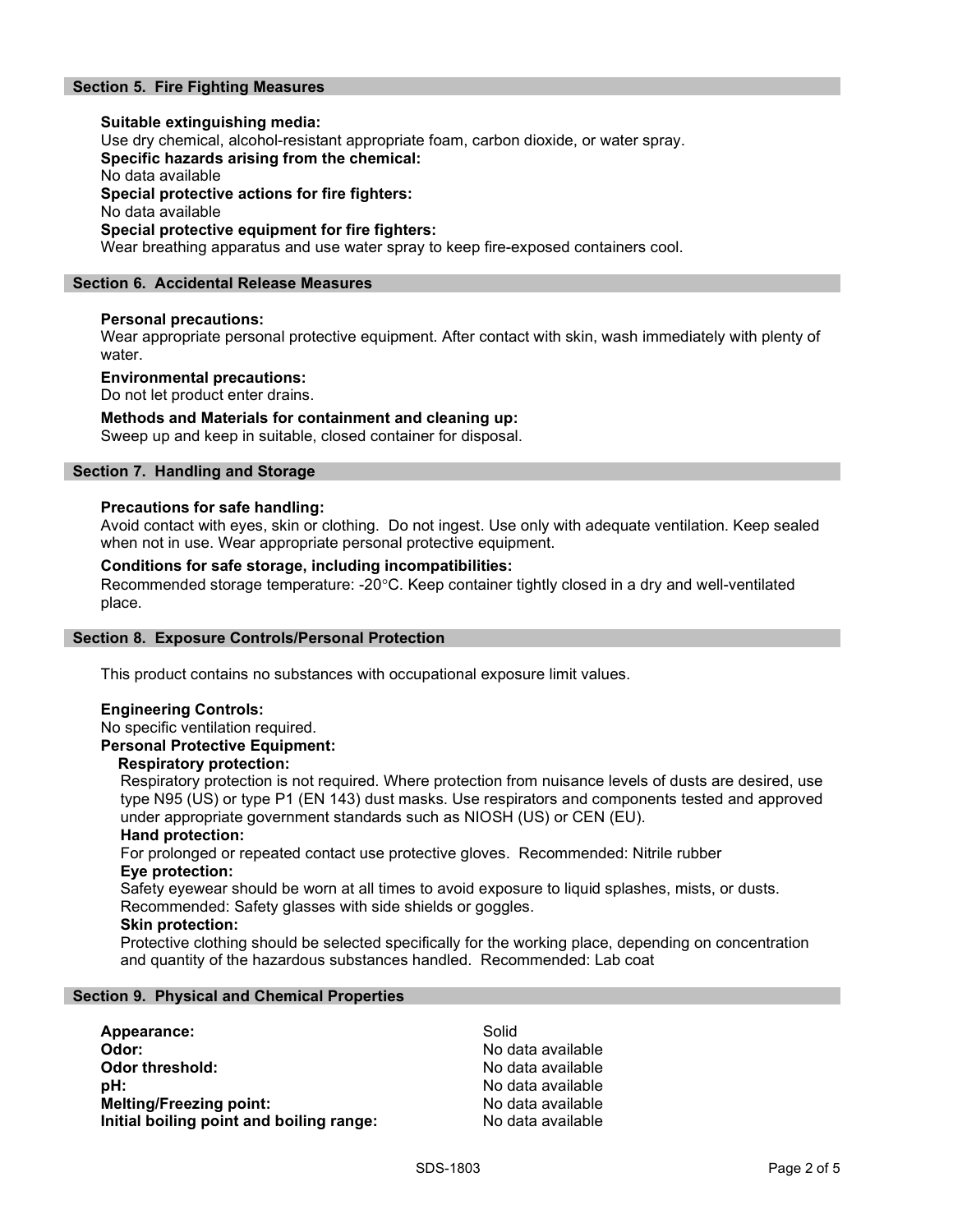# Section 5. Fire Fighting Measures

Suitable extinguishing media: Use dry chemical, alcohol-resistant appropriate foam, carbon dioxide, or water spray. Specific hazards arising from the chemical: No data available Special protective actions for fire fighters: No data available Special protective equipment for fire fighters: Wear breathing apparatus and use water spray to keep fire-exposed containers cool.

## Section 6. Accidental Release Measures

## Personal precautions:

Wear appropriate personal protective equipment. After contact with skin, wash immediately with plenty of water.

#### Environmental precautions:

Do not let product enter drains.

## Methods and Materials for containment and cleaning up:

Sweep up and keep in suitable, closed container for disposal.

## Section 7. Handling and Storage

#### Precautions for safe handling:

Avoid contact with eyes, skin or clothing. Do not ingest. Use only with adequate ventilation. Keep sealed when not in use. Wear appropriate personal protective equipment.

## Conditions for safe storage, including incompatibilities:

Recommended storage temperature: -20°C. Keep container tightly closed in a dry and well-ventilated place.

#### Section 8. Exposure Controls/Personal Protection

This product contains no substances with occupational exposure limit values.

#### Engineering Controls:

No specific ventilation required.

# Personal Protective Equipment:

#### Respiratory protection:

Respiratory protection is not required. Where protection from nuisance levels of dusts are desired, use type N95 (US) or type P1 (EN 143) dust masks. Use respirators and components tested and approved under appropriate government standards such as NIOSH (US) or CEN (EU).

## Hand protection:

For prolonged or repeated contact use protective gloves. Recommended: Nitrile rubber Eye protection:

Safety eyewear should be worn at all times to avoid exposure to liquid splashes, mists, or dusts. Recommended: Safety glasses with side shields or goggles.

#### Skin protection:

Protective clothing should be selected specifically for the working place, depending on concentration and quantity of the hazardous substances handled. Recommended: Lab coat

#### Section 9. Physical and Chemical Properties

| Appearance:                              | Solid             |
|------------------------------------------|-------------------|
| Odor:                                    | No data available |
| Odor threshold:                          | No data available |
| pH:                                      | No data available |
| <b>Melting/Freezing point:</b>           | No data available |
| Initial boiling point and boiling range: | No data available |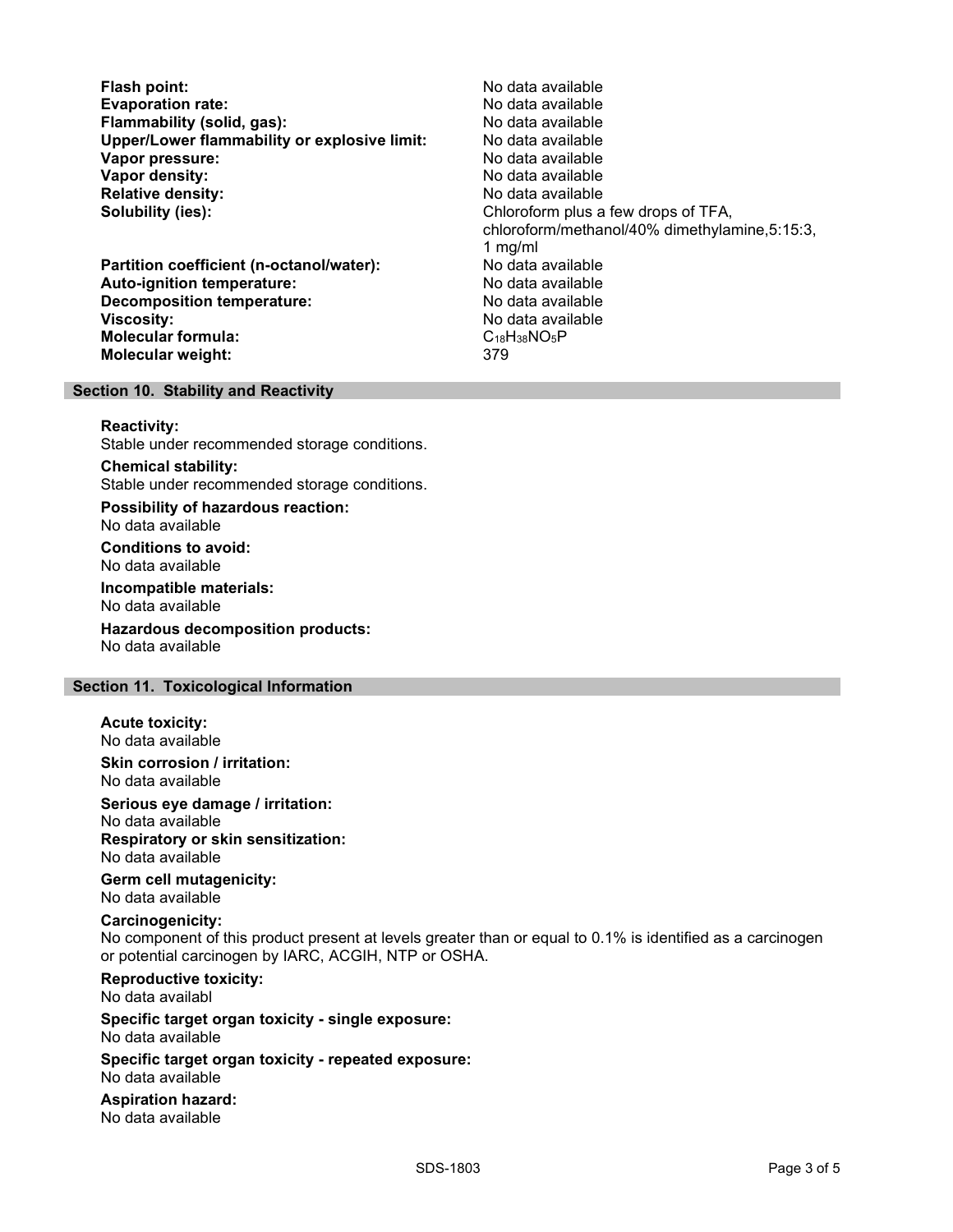Flash point: No data available Evaporation rate: <br>
Flammability (solid. gas): No data available Flammability (solid, gas): Upper/Lower flammability or explosive limit: No data available Vapor pressure: No data available **Vapor density:** No data available in the set of the set of the North Modata available Relative density: No data available Solubility (ies): Chloroform plus a few drops of TFA,

Partition coefficient (n-octanol/water): Auto-ignition temperature: No data available Decomposition temperature: No data available **Viscosity:** No data available Molecular formula: C18H38NO5P Molecular weight: 379

chloroform/methanol/40% dimethylamine,5:15:3, 1 mg/ml

#### Section 10. Stability and Reactivity

#### Reactivity:

Stable under recommended storage conditions.

Chemical stability: Stable under recommended storage conditions.

Possibility of hazardous reaction: No data available

Conditions to avoid: No data available

Incompatible materials: No data available

Hazardous decomposition products: No data available

## Section 11. Toxicological Information

Acute toxicity:

No data available

Skin corrosion / irritation: No data available

Serious eye damage / irritation:

No data available Respiratory or skin sensitization:

No data available

Germ cell mutagenicity: No data available

#### Carcinogenicity:

No component of this product present at levels greater than or equal to 0.1% is identified as a carcinogen or potential carcinogen by IARC, ACGIH, NTP or OSHA.

Reproductive toxicity: No data availabl

Specific target organ toxicity - single exposure: No data available

Specific target organ toxicity - repeated exposure: No data available

Aspiration hazard: No data available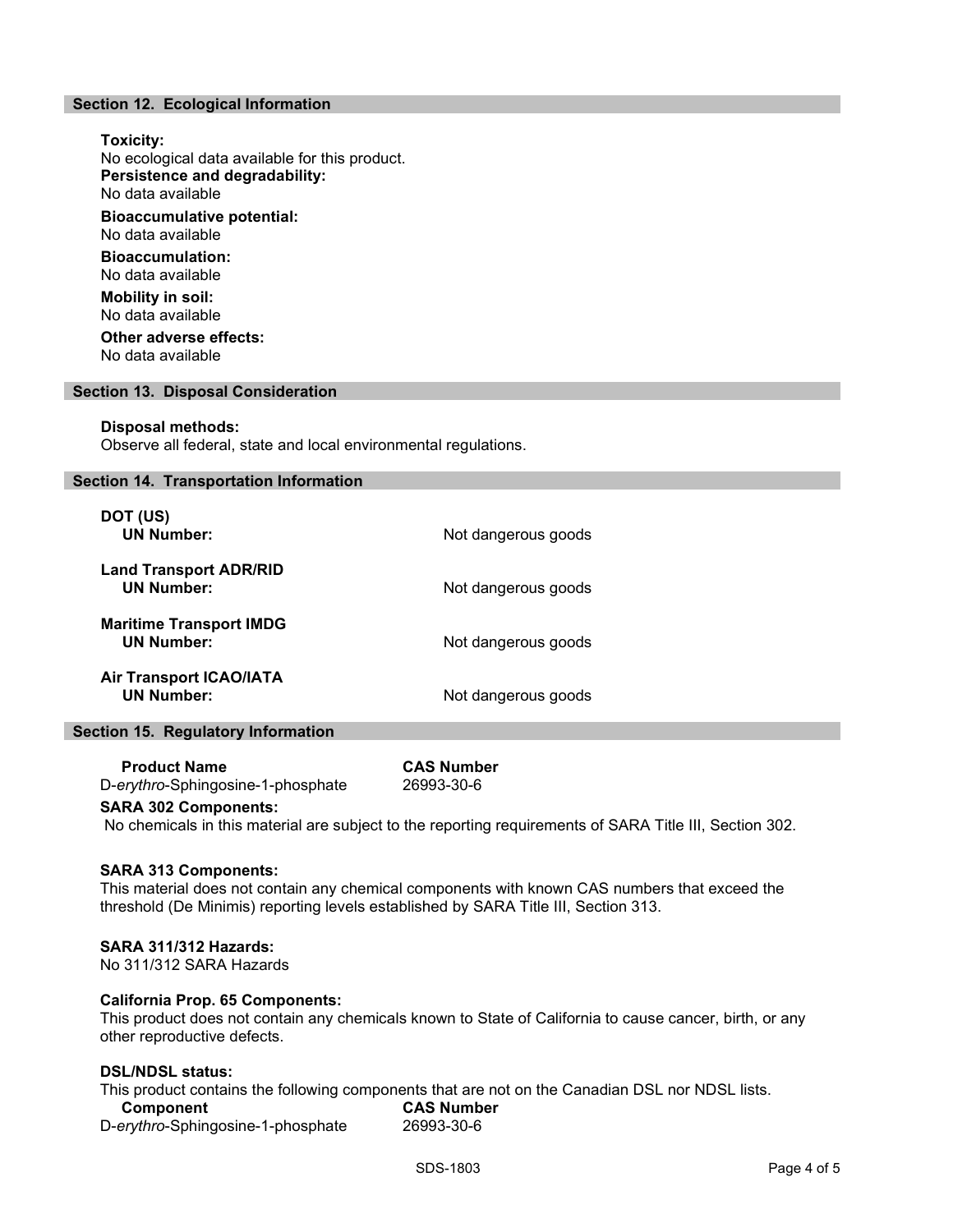# Section 12. Ecological Information

Toxicity: No ecological data available for this product. Persistence and degradability: No data available Bioaccumulative potential: No data available Bioaccumulation: No data available Mobility in soil: No data available Other adverse effects:

No data available

#### Section 13. Disposal Consideration

#### Disposal methods:

Observe all federal, state and local environmental regulations.

#### Section 14. Transportation Information

| DOT (US)<br><b>UN Number:</b>                       | Not dangerous goods |
|-----------------------------------------------------|---------------------|
| <b>Land Transport ADR/RID</b><br><b>UN Number:</b>  | Not dangerous goods |
| <b>Maritime Transport IMDG</b><br><b>UN Number:</b> | Not dangerous goods |
| <b>Air Transport ICAO/IATA</b><br><b>UN Number:</b> | Not dangerous goods |

#### Section 15. Regulatory Information

 Product Name CAS Number D-erythro-Sphingosine-1-phosphate 26993-30-6

#### SARA 302 Components:

No chemicals in this material are subject to the reporting requirements of SARA Title III, Section 302.

#### SARA 313 Components:

This material does not contain any chemical components with known CAS numbers that exceed the threshold (De Minimis) reporting levels established by SARA Title III, Section 313.

#### SARA 311/312 Hazards:

No 311/312 SARA Hazards

## California Prop. 65 Components:

This product does not contain any chemicals known to State of California to cause cancer, birth, or any other reproductive defects.

#### DSL/NDSL status:

This product contains the following components that are not on the Canadian DSL nor NDSL lists. Component CAS Number<br>
erythro-Sphingosine-1-phosphate 26993-30-6 D-erythro-Sphingosine-1-phosphate